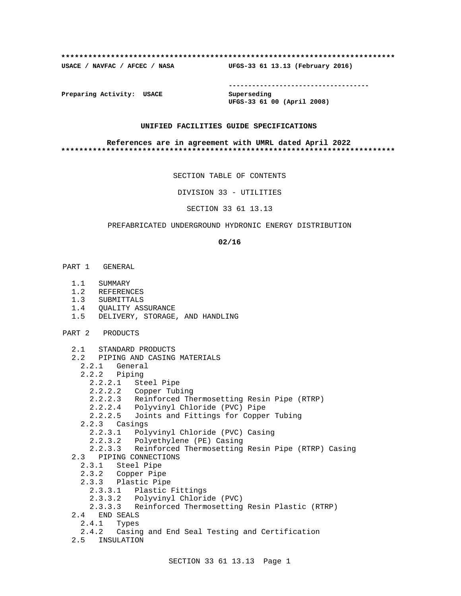### **\*\*\*\*\*\*\*\*\*\*\*\*\*\*\*\*\*\*\*\*\*\*\*\*\*\*\*\*\*\*\*\*\*\*\*\*\*\*\*\*\*\*\*\*\*\*\*\*\*\*\*\*\*\*\*\*\*\*\*\*\*\*\*\*\*\*\*\*\*\*\*\*\*\***

**USACE / NAVFAC / AFCEC / NASA UFGS-33 61 13.13 (February 2016)**

**------------------------------------**

**Preparing Activity: USACE Superseding**

**UFGS-33 61 00 (April 2008)**

## **UNIFIED FACILITIES GUIDE SPECIFICATIONS**

### **References are in agreement with UMRL dated April 2022 \*\*\*\*\*\*\*\*\*\*\*\*\*\*\*\*\*\*\*\*\*\*\*\*\*\*\*\*\*\*\*\*\*\*\*\*\*\*\*\*\*\*\*\*\*\*\*\*\*\*\*\*\*\*\*\*\*\*\*\*\*\*\*\*\*\*\*\*\*\*\*\*\*\***

SECTION TABLE OF CONTENTS

DIVISION 33 - UTILITIES

SECTION 33 61 13.13

## PREFABRICATED UNDERGROUND HYDRONIC ENERGY DISTRIBUTION

**02/16**

- PART 1 GENERAL
	- 1.1 SUMMARY
	- 1.2 REFERENCES
	- 1.3 SUBMITTALS
	- 1.4 QUALITY ASSURANCE
	- 1.5 DELIVERY, STORAGE, AND HANDLING
- PART 2 PRODUCTS
	- 2.1 STANDARD PRODUCTS
	- 2.2 PIPING AND CASING MATERIALS
	- 2.2.1 General
		- 2.2.2 Piping
			- 2.2.2.1 Steel Pipe
			- 2.2.2.2 Copper Tubing
			- 2.2.2.3 Reinforced Thermosetting Resin Pipe (RTRP)
			- 2.2.2.4 Polyvinyl Chloride (PVC) Pipe
			- 2.2.2.5 Joints and Fittings for Copper Tubing
		- 2.2.3 Casings
			- 2.2.3.1 Polyvinyl Chloride (PVC) Casing
			- 2.2.3.2 Polyethylene (PE) Casing
	- 2.2.3.3 Reinforced Thermosetting Resin Pipe (RTRP) Casing
	- 2.3 PIPING CONNECTIONS
		- 2.3.1 Steel Pipe
		- 2.3.2 Copper Pipe
		- 2.3.3 Plastic Pipe
		- 2.3.3.1 Plastic Fittings
		- 2.3.3.2 Polyvinyl Chloride (PVC)
		- 2.3.3.3 Reinforced Thermosetting Resin Plastic (RTRP)
	- 2.4 END SEALS
		- 2.4.1 Types
	- 2.4.2 Casing and End Seal Testing and Certification
	- 2.5 INSULATION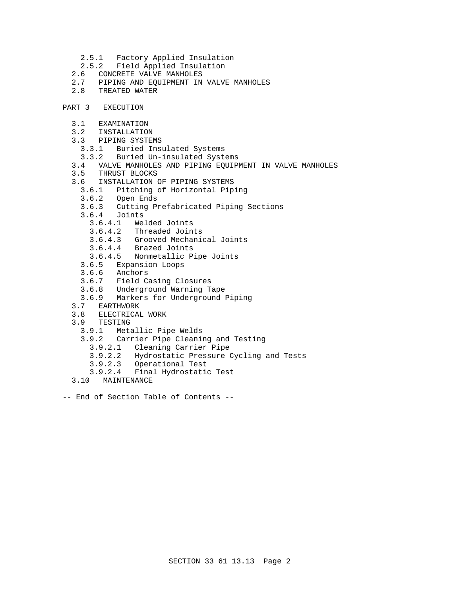- 2.5.1 Factory Applied Insulation
- 2.5.2 Field Applied Insulation<br>2.6 CONCRETE VALVE MANHOLES
- 2.6 CONCRETE VALVE MANHOLES<br>2.7 PIPING AND EOUIPMENT IN
- 2.7 PIPING AND EQUIPMENT IN VALVE MANHOLES
- 2.8 TREATED WATER
- PART 3 EXECUTION
	- 3.1 EXAMINATION
	- 3.2 INSTALLATION
	- 3.3 PIPING SYSTEMS
		- 3.3.1 Buried Insulated Systems
		- 3.3.2 Buried Un-insulated Systems
	- 3.4 VALVE MANHOLES AND PIPING EQUIPMENT IN VALVE MANHOLES
	- 3.5 THRUST BLOCKS
	- 3.6 INSTALLATION OF PIPING SYSTEMS
		- 3.6.1 Pitching of Horizontal Piping
		- 3.6.2 Open Ends
		- 3.6.3 Cutting Prefabricated Piping Sections
		- 3.6.4 Joints
			-
			- 3.6.4.1 Welded Joints 3.6.4.2 Threaded Joints
			- 3.6.4.3 Grooved Mechanical Joints
			- 3.6.4.4 Brazed Joints
			- 3.6.4.5 Nonmetallic Pipe Joints
		- 3.6.5 Expansion Loops
		- 3.6.6 Anchors
		- 3.6.7 Field Casing Closures
		- 3.6.8 Underground Warning Tape
		- 3.6.9 Markers for Underground Piping
	- 3.7 EARTHWORK
	- 3.8 ELECTRICAL WORK
	- 3.9 TESTING
		- 3.9.1 Metallic Pipe Welds
		- 3.9.2 Carrier Pipe Cleaning and Testing
			- 3.9.2.1 Cleaning Carrier Pipe
			- 3.9.2.2 Hydrostatic Pressure Cycling and Tests
			- 3.9.2.3 Operational Test
		- 3.9.2.4 Final Hydrostatic Test
	- 3.10 MAINTENANCE
- -- End of Section Table of Contents --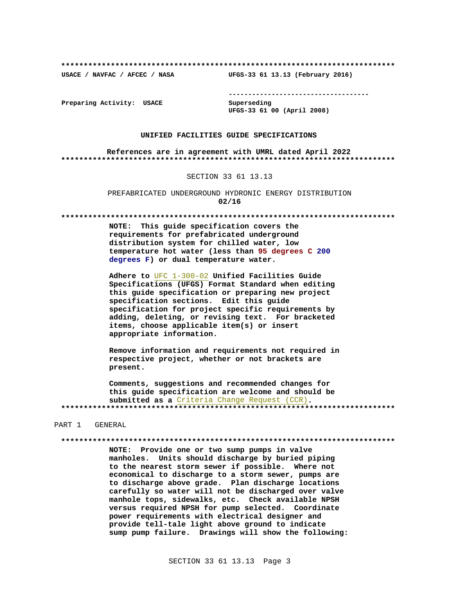**\*\*\*\*\*\*\*\*\*\*\*\*\*\*\*\*\*\*\*\*\*\*\*\*\*\*\*\*\*\*\*\*\*\*\*\*\*\*\*\*\*\*\*\*\*\*\*\*\*\*\*\*\*\*\*\*\*\*\*\*\*\*\*\*\*\*\*\*\*\*\*\*\*\***

**USACE / NAVFAC / AFCEC / NASA UFGS-33 61 13.13 (February 2016)**

**------------------------------------**

**Preparing Activity: USACE Superseding**

**UFGS-33 61 00 (April 2008)**

### **UNIFIED FACILITIES GUIDE SPECIFICATIONS**

**References are in agreement with UMRL dated April 2022 \*\*\*\*\*\*\*\*\*\*\*\*\*\*\*\*\*\*\*\*\*\*\*\*\*\*\*\*\*\*\*\*\*\*\*\*\*\*\*\*\*\*\*\*\*\*\*\*\*\*\*\*\*\*\*\*\*\*\*\*\*\*\*\*\*\*\*\*\*\*\*\*\*\***

### SECTION 33 61 13.13

PREFABRICATED UNDERGROUND HYDRONIC ENERGY DISTRIBUTION **02/16**

**\*\*\*\*\*\*\*\*\*\*\*\*\*\*\*\*\*\*\*\*\*\*\*\*\*\*\*\*\*\*\*\*\*\*\*\*\*\*\*\*\*\*\*\*\*\*\*\*\*\*\*\*\*\*\*\*\*\*\*\*\*\*\*\*\*\*\*\*\*\*\*\*\*\***

**NOTE: This guide specification covers the requirements for prefabricated underground distribution system for chilled water, low temperature hot water (less than 95 degrees C 200 degrees F) or dual temperature water.**

**Adhere to** UFC 1-300-02 **Unified Facilities Guide Specifications (UFGS) Format Standard when editing this guide specification or preparing new project specification sections. Edit this guide specification for project specific requirements by adding, deleting, or revising text. For bracketed items, choose applicable item(s) or insert appropriate information.**

**Remove information and requirements not required in respective project, whether or not brackets are present.**

**Comments, suggestions and recommended changes for this guide specification are welcome and should be submitted as a** Criteria Change Request (CCR)**. \*\*\*\*\*\*\*\*\*\*\*\*\*\*\*\*\*\*\*\*\*\*\*\*\*\*\*\*\*\*\*\*\*\*\*\*\*\*\*\*\*\*\*\*\*\*\*\*\*\*\*\*\*\*\*\*\*\*\*\*\*\*\*\*\*\*\*\*\*\*\*\*\*\***

### PART 1 GENERAL

**\*\*\*\*\*\*\*\*\*\*\*\*\*\*\*\*\*\*\*\*\*\*\*\*\*\*\*\*\*\*\*\*\*\*\*\*\*\*\*\*\*\*\*\*\*\*\*\*\*\*\*\*\*\*\*\*\*\*\*\*\*\*\*\*\*\*\*\*\*\*\*\*\*\***

**NOTE: Provide one or two sump pumps in valve manholes. Units should discharge by buried piping to the nearest storm sewer if possible. Where not economical to discharge to a storm sewer, pumps are to discharge above grade. Plan discharge locations carefully so water will not be discharged over valve manhole tops, sidewalks, etc. Check available NPSH versus required NPSH for pump selected. Coordinate power requirements with electrical designer and provide tell-tale light above ground to indicate sump pump failure. Drawings will show the following:**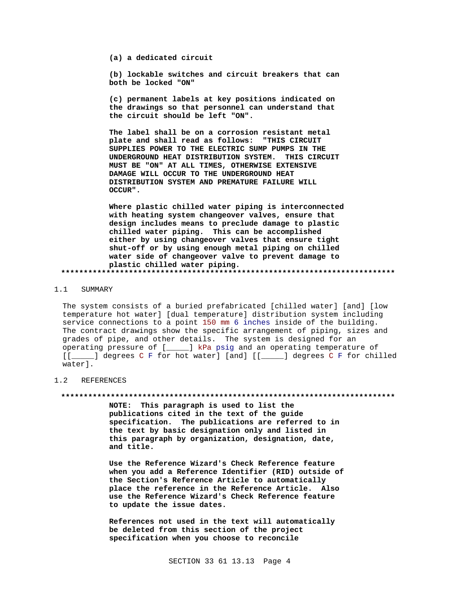**(a) a dedicated circuit**

**(b) lockable switches and circuit breakers that can both be locked "ON"**

**(c) permanent labels at key positions indicated on the drawings so that personnel can understand that the circuit should be left "ON".**

**The label shall be on a corrosion resistant metal plate and shall read as follows: "THIS CIRCUIT SUPPLIES POWER TO THE ELECTRIC SUMP PUMPS IN THE UNDERGROUND HEAT DISTRIBUTION SYSTEM. THIS CIRCUIT MUST BE "ON" AT ALL TIMES, OTHERWISE EXTENSIVE DAMAGE WILL OCCUR TO THE UNDERGROUND HEAT DISTRIBUTION SYSTEM AND PREMATURE FAILURE WILL OCCUR".**

**Where plastic chilled water piping is interconnected with heating system changeover valves, ensure that design includes means to preclude damage to plastic chilled water piping. This can be accomplished either by using changeover valves that ensure tight shut-off or by using enough metal piping on chilled water side of changeover valve to prevent damage to plastic chilled water piping. \*\*\*\*\*\*\*\*\*\*\*\*\*\*\*\*\*\*\*\*\*\*\*\*\*\*\*\*\*\*\*\*\*\*\*\*\*\*\*\*\*\*\*\*\*\*\*\*\*\*\*\*\*\*\*\*\*\*\*\*\*\*\*\*\*\*\*\*\*\*\*\*\*\***

### 1.1 SUMMARY

The system consists of a buried prefabricated [chilled water] [and] [low temperature hot water] [dual temperature] distribution system including service connections to a point 150 mm 6 inches inside of the building. The contract drawings show the specific arrangement of piping, sizes and grades of pipe, and other details. The system is designed for an operating pressure of [\_\_\_\_\_] kPa psig and an operating temperature of [[\_\_\_\_\_] degrees C F for hot water] [and] [[\_\_\_\_\_] degrees C F for chilled water].

## 1.2 REFERENCES

#### **\*\*\*\*\*\*\*\*\*\*\*\*\*\*\*\*\*\*\*\*\*\*\*\*\*\*\*\*\*\*\*\*\*\*\*\*\*\*\*\*\*\*\*\*\*\*\*\*\*\*\*\*\*\*\*\*\*\*\*\*\*\*\*\*\*\*\*\*\*\*\*\*\*\***

**NOTE: This paragraph is used to list the publications cited in the text of the guide specification. The publications are referred to in the text by basic designation only and listed in this paragraph by organization, designation, date, and title.**

**Use the Reference Wizard's Check Reference feature when you add a Reference Identifier (RID) outside of the Section's Reference Article to automatically place the reference in the Reference Article. Also use the Reference Wizard's Check Reference feature to update the issue dates.**

**References not used in the text will automatically be deleted from this section of the project specification when you choose to reconcile**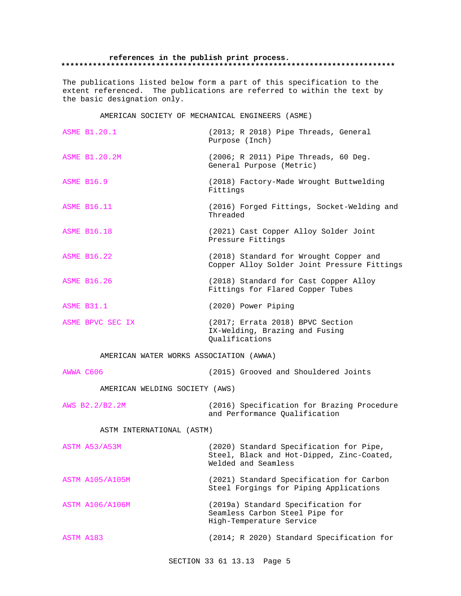## **references in the publish print process. \*\*\*\*\*\*\*\*\*\*\*\*\*\*\*\*\*\*\*\*\*\*\*\*\*\*\*\*\*\*\*\*\*\*\*\*\*\*\*\*\*\*\*\*\*\*\*\*\*\*\*\*\*\*\*\*\*\*\*\*\*\*\*\*\*\*\*\*\*\*\*\*\*\***

The publications listed below form a part of this specification to the extent referenced. The publications are referred to within the text by the basic designation only.

AMERICAN SOCIETY OF MECHANICAL ENGINEERS (ASME)

| <b>ASME B1.20.1</b>                     | (2013; R 2018) Pipe Threads, General<br>Purpose (Inch)                                                      |  |  |  |  |  |
|-----------------------------------------|-------------------------------------------------------------------------------------------------------------|--|--|--|--|--|
| <b>ASME B1.20.2M</b>                    | (2006; R 2011) Pipe Threads, 60 Deg.<br>General Purpose (Metric)                                            |  |  |  |  |  |
| <b>ASME B16.9</b>                       | (2018) Factory-Made Wrought Buttwelding<br>Fittings                                                         |  |  |  |  |  |
| <b>ASME B16.11</b>                      | (2016) Forged Fittings, Socket-Welding and<br>Threaded                                                      |  |  |  |  |  |
| <b>ASME B16.18</b>                      | (2021) Cast Copper Alloy Solder Joint<br>Pressure Fittings                                                  |  |  |  |  |  |
| <b>ASME B16.22</b>                      | (2018) Standard for Wrought Copper and<br>Copper Alloy Solder Joint Pressure Fittings                       |  |  |  |  |  |
| <b>ASME B16.26</b>                      | (2018) Standard for Cast Copper Alloy<br>Fittings for Flared Copper Tubes                                   |  |  |  |  |  |
| <b>ASME B31.1</b>                       | (2020) Power Piping                                                                                         |  |  |  |  |  |
| ASME BPVC SEC IX                        | (2017; Errata 2018) BPVC Section<br>IX-Welding, Brazing and Fusing<br>Qualifications                        |  |  |  |  |  |
| AMERICAN WATER WORKS ASSOCIATION (AWWA) |                                                                                                             |  |  |  |  |  |
| AWWA C606                               | (2015) Grooved and Shouldered Joints                                                                        |  |  |  |  |  |
| AMERICAN WELDING SOCIETY (AWS)          |                                                                                                             |  |  |  |  |  |
| AWS B2.2/B2.2M                          | (2016) Specification for Brazing Procedure<br>and Performance Qualification                                 |  |  |  |  |  |
| ASTM INTERNATIONAL (ASTM)               |                                                                                                             |  |  |  |  |  |
| ASTM A53/A53M                           | (2020) Standard Specification for Pipe,<br>Steel, Black and Hot-Dipped, Zinc-Coated,<br>Welded and Seamless |  |  |  |  |  |
| <b>ASTM A105/A105M</b>                  | (2021) Standard Specification for Carbon<br>Steel Forgings for Piping Applications                          |  |  |  |  |  |
| <b>ASTM A106/A106M</b>                  | (2019a) Standard Specification for<br>Seamless Carbon Steel Pipe for<br>High-Temperature Service            |  |  |  |  |  |
| ASTM A183                               | (2014; R 2020) Standard Specification for                                                                   |  |  |  |  |  |

SECTION 33 61 13.13 Page 5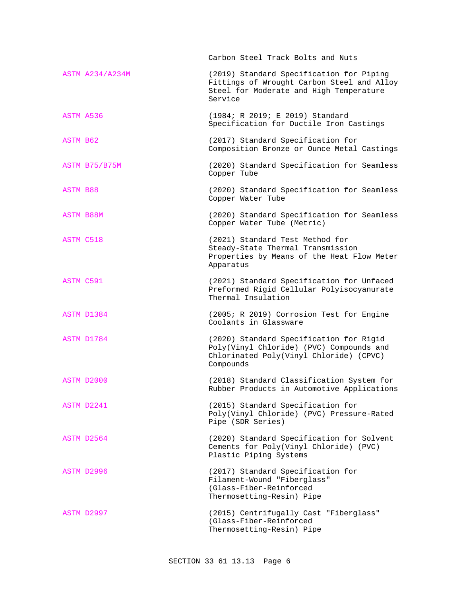|                        | Carbon Steel Track Bolts and Nuts                                                                                                            |
|------------------------|----------------------------------------------------------------------------------------------------------------------------------------------|
| <b>ASTM A234/A234M</b> | (2019) Standard Specification for Piping<br>Fittings of Wrought Carbon Steel and Alloy<br>Steel for Moderate and High Temperature<br>Service |
| ASTM A536              | (1984; R 2019; E 2019) Standard<br>Specification for Ductile Iron Castings                                                                   |
| ASTM B62               | (2017) Standard Specification for<br>Composition Bronze or Ounce Metal Castings                                                              |
| ASTM B75/B75M          | (2020) Standard Specification for Seamless<br>Copper Tube                                                                                    |
| <b>ASTM B88</b>        | (2020) Standard Specification for Seamless<br>Copper Water Tube                                                                              |
| ASTM B88M              | (2020) Standard Specification for Seamless<br>Copper Water Tube (Metric)                                                                     |
| ASTM C518              | (2021) Standard Test Method for<br>Steady-State Thermal Transmission<br>Properties by Means of the Heat Flow Meter<br>Apparatus              |
| <b>ASTM C591</b>       | (2021) Standard Specification for Unfaced<br>Preformed Rigid Cellular Polyisocyanurate<br>Thermal Insulation                                 |
| ASTM D1384             | (2005; R 2019) Corrosion Test for Engine<br>Coolants in Glassware                                                                            |
| ASTM D1784             | (2020) Standard Specification for Rigid<br>Poly(Vinyl Chloride) (PVC) Compounds and<br>Chlorinated Poly(Vinyl Chloride) (CPVC)<br>Compounds  |
| ASTM D2000             | (2018) Standard Classification System for<br>Rubber Products in Automotive Applications                                                      |
| ASTM D2241             | (2015) Standard Specification for<br>Poly(Vinyl Chloride) (PVC) Pressure-Rated<br>Pipe (SDR Series)                                          |
| ASTM D2564             | (2020) Standard Specification for Solvent<br>Cements for Poly(Vinyl Chloride) (PVC)<br>Plastic Piping Systems                                |
| ASTM D2996             | (2017) Standard Specification for<br>Filament-Wound "Fiberglass"<br>(Glass-Fiber-Reinforced<br>Thermosetting-Resin) Pipe                     |
| ASTM D2997             | (2015) Centrifugally Cast "Fiberglass"<br>(Glass-Fiber-Reinforced<br>Thermosetting-Resin) Pipe                                               |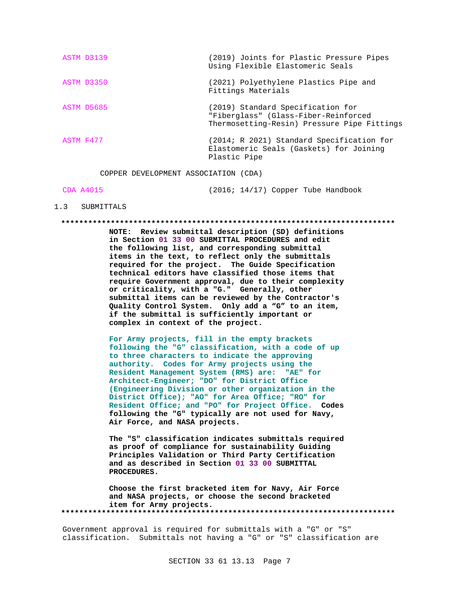|           | ASTM D3139 | (2019) Joints for Plastic Pressure Pipes<br>Using Flexible Elastomeric Seals                                             |
|-----------|------------|--------------------------------------------------------------------------------------------------------------------------|
|           | ASTM D3350 | (2021) Polyethylene Plastics Pipe and<br>Fittings Materials                                                              |
|           | ASTM D5685 | (2019) Standard Specification for<br>"Fiberglass" (Glass-Fiber-Reinforced<br>Thermosetting-Resin) Pressure Pipe Fittings |
| ASTM F477 |            | (2014; R 2021) Standard Specification for<br>Elastomeric Seals (Gaskets) for Joining<br>Plastic Pipe                     |
|           |            |                                                                                                                          |

COPPER DEVELOPMENT ASSOCIATION (CDA)

CDA A4015 (2016; 14/17) Copper Tube Handbook

## 1.3 SUBMITTALS

### **\*\*\*\*\*\*\*\*\*\*\*\*\*\*\*\*\*\*\*\*\*\*\*\*\*\*\*\*\*\*\*\*\*\*\*\*\*\*\*\*\*\*\*\*\*\*\*\*\*\*\*\*\*\*\*\*\*\*\*\*\*\*\*\*\*\*\*\*\*\*\*\*\*\***

**NOTE: Review submittal description (SD) definitions in Section 01 33 00 SUBMITTAL PROCEDURES and edit the following list, and corresponding submittal items in the text, to reflect only the submittals required for the project. The Guide Specification technical editors have classified those items that require Government approval, due to their complexity or criticality, with a "G." Generally, other submittal items can be reviewed by the Contractor's Quality Control System. Only add a "G" to an item, if the submittal is sufficiently important or complex in context of the project.**

**For Army projects, fill in the empty brackets following the "G" classification, with a code of up to three characters to indicate the approving authority. Codes for Army projects using the Resident Management System (RMS) are: "AE" for Architect-Engineer; "DO" for District Office (Engineering Division or other organization in the District Office); "AO" for Area Office; "RO" for Resident Office; and "PO" for Project Office. Codes following the "G" typically are not used for Navy, Air Force, and NASA projects.**

**The "S" classification indicates submittals required as proof of compliance for sustainability Guiding Principles Validation or Third Party Certification and as described in Section 01 33 00 SUBMITTAL PROCEDURES.**

**Choose the first bracketed item for Navy, Air Force and NASA projects, or choose the second bracketed item for Army projects. \*\*\*\*\*\*\*\*\*\*\*\*\*\*\*\*\*\*\*\*\*\*\*\*\*\*\*\*\*\*\*\*\*\*\*\*\*\*\*\*\*\*\*\*\*\*\*\*\*\*\*\*\*\*\*\*\*\*\*\*\*\*\*\*\*\*\*\*\*\*\*\*\*\***

Government approval is required for submittals with a "G" or "S" classification. Submittals not having a "G" or "S" classification are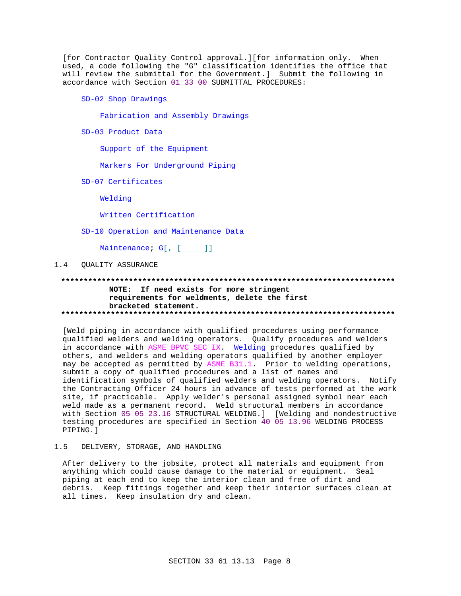[for Contractor Ouality Control approval.][for information only. When used, a code following the "G" classification identifies the office that will review the submittal for the Government.] Submit the following in accordance with Section 01 33 00 SUBMITTAL PROCEDURES:

SD-02 Shop Drawings

Fabrication and Assembly Drawings

SD-03 Product Data

Support of the Equipment

Markers For Underground Piping

SD-07 Certificates

Welding

Written Certification

SD-10 Operation and Maintenance Data

Maintenance; G[, [\_\_\_\_]]

#### $1.4$ **QUALITY ASSURANCE**

## NOTE: If need exists for more stringent requirements for weldments, delete the first bracketed statement.

[Weld piping in accordance with qualified procedures using performance qualified welders and welding operators. Qualify procedures and welders in accordance with ASME BPVC SEC IX. Welding procedures qualified by others, and welders and welding operators qualified by another employer may be accepted as permitted by ASME B31.1. Prior to welding operations, submit a copy of qualified procedures and a list of names and identification symbols of qualified welders and welding operators. Notify the Contracting Officer 24 hours in advance of tests performed at the work site, if practicable. Apply welder's personal assigned symbol near each weld made as a permanent record. Weld structural members in accordance with Section 05 05 23.16 STRUCTURAL WELDING.] [Welding and nondestructive testing procedures are specified in Section 40 05 13.96 WELDING PROCESS PIPING.]

#### $1.5$ DELIVERY, STORAGE, AND HANDLING

After delivery to the jobsite, protect all materials and equipment from anything which could cause damage to the material or equipment. Seal piping at each end to keep the interior clean and free of dirt and debris. Keep fittings together and keep their interior surfaces clean at all times. Keep insulation dry and clean.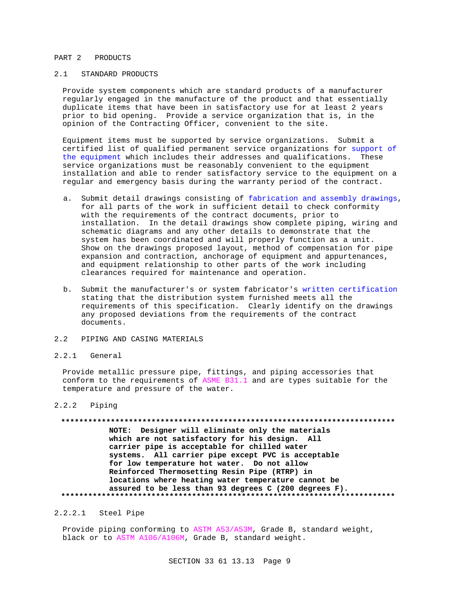## PART 2 PRODUCTS

## 2.1 STANDARD PRODUCTS

Provide system components which are standard products of a manufacturer regularly engaged in the manufacture of the product and that essentially duplicate items that have been in satisfactory use for at least 2 years prior to bid opening. Provide a service organization that is, in the opinion of the Contracting Officer, convenient to the site.

Equipment items must be supported by service organizations. Submit a certified list of qualified permanent service organizations for support of the equipment which includes their addresses and qualifications. These service organizations must be reasonably convenient to the equipment installation and able to render satisfactory service to the equipment on a regular and emergency basis during the warranty period of the contract.

- a. Submit detail drawings consisting of fabrication and assembly drawings, for all parts of the work in sufficient detail to check conformity with the requirements of the contract documents, prior to installation. In the detail drawings show complete piping, wiring and schematic diagrams and any other details to demonstrate that the system has been coordinated and will properly function as a unit. Show on the drawings proposed layout, method of compensation for pipe expansion and contraction, anchorage of equipment and appurtenances, and equipment relationship to other parts of the work including clearances required for maintenance and operation.
- b. Submit the manufacturer's or system fabricator's written certification stating that the distribution system furnished meets all the requirements of this specification. Clearly identify on the drawings any proposed deviations from the requirements of the contract documents.
- 2.2 PIPING AND CASING MATERIALS

### 2.2.1 General

Provide metallic pressure pipe, fittings, and piping accessories that conform to the requirements of ASME B31.1 and are types suitable for the temperature and pressure of the water.

## 2.2.2 Piping

# **\*\*\*\*\*\*\*\*\*\*\*\*\*\*\*\*\*\*\*\*\*\*\*\*\*\*\*\*\*\*\*\*\*\*\*\*\*\*\*\*\*\*\*\*\*\*\*\*\*\*\*\*\*\*\*\*\*\*\*\*\*\*\*\*\*\*\*\*\*\*\*\*\*\***

**NOTE: Designer will eliminate only the materials which are not satisfactory for his design. All carrier pipe is acceptable for chilled water systems. All carrier pipe except PVC is acceptable for low temperature hot water. Do not allow Reinforced Thermosetting Resin Pipe (RTRP) in locations where heating water temperature cannot be assured to be less than 93 degrees C (200 degrees F). \*\*\*\*\*\*\*\*\*\*\*\*\*\*\*\*\*\*\*\*\*\*\*\*\*\*\*\*\*\*\*\*\*\*\*\*\*\*\*\*\*\*\*\*\*\*\*\*\*\*\*\*\*\*\*\*\*\*\*\*\*\*\*\*\*\*\*\*\*\*\*\*\*\***

## 2.2.2.1 Steel Pipe

Provide piping conforming to ASTM A53/A53M, Grade B, standard weight, black or to ASTM A106/A106M, Grade B, standard weight.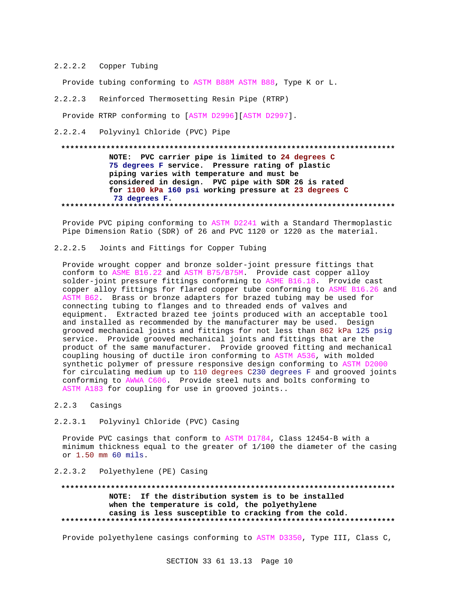## 2.2.2.2 Copper Tubing

Provide tubing conforming to ASTM B88M ASTM B88, Type K or L.

## 2.2.2.3 Reinforced Thermosetting Resin Pipe (RTRP)

Provide RTRP conforming to [ASTM D2996][ASTM D2997].

2.2.2.4 Polyvinyl Chloride (PVC) Pipe

### **\*\*\*\*\*\*\*\*\*\*\*\*\*\*\*\*\*\*\*\*\*\*\*\*\*\*\*\*\*\*\*\*\*\*\*\*\*\*\*\*\*\*\*\*\*\*\*\*\*\*\*\*\*\*\*\*\*\*\*\*\*\*\*\*\*\*\*\*\*\*\*\*\*\***

**NOTE: PVC carrier pipe is limited to 24 degrees C 75 degrees F service. Pressure rating of plastic piping varies with temperature and must be considered in design. PVC pipe with SDR 26 is rated for 1100 kPa 160 psi working pressure at 23 degrees C 73 degrees F. \*\*\*\*\*\*\*\*\*\*\*\*\*\*\*\*\*\*\*\*\*\*\*\*\*\*\*\*\*\*\*\*\*\*\*\*\*\*\*\*\*\*\*\*\*\*\*\*\*\*\*\*\*\*\*\*\*\*\*\*\*\*\*\*\*\*\*\*\*\*\*\*\*\***

Provide PVC piping conforming to ASTM D2241 with a Standard Thermoplastic Pipe Dimension Ratio (SDR) of 26 and PVC 1120 or 1220 as the material.

## 2.2.2.5 Joints and Fittings for Copper Tubing

Provide wrought copper and bronze solder-joint pressure fittings that conform to ASME B16.22 and ASTM B75/B75M. Provide cast copper alloy solder-joint pressure fittings conforming to ASME B16.18. Provide cast copper alloy fittings for flared copper tube conforming to ASME B16.26 and ASTM B62. Brass or bronze adapters for brazed tubing may be used for connecting tubing to flanges and to threaded ends of valves and equipment. Extracted brazed tee joints produced with an acceptable tool and installed as recommended by the manufacturer may be used. Design grooved mechanical joints and fittings for not less than 862 kPa 125 psig service. Provide grooved mechanical joints and fittings that are the product of the same manufacturer. Provide grooved fitting and mechanical coupling housing of ductile iron conforming to ASTM A536, with molded synthetic polymer of pressure responsive design conforming to ASTM D2000 for circulating medium up to 110 degrees C230 degrees F and grooved joints conforming to AWWA C606. Provide steel nuts and bolts conforming to ASTM A183 for coupling for use in grooved joints..

## 2.2.3 Casings

## 2.2.3.1 Polyvinyl Chloride (PVC) Casing

Provide PVC casings that conform to ASTM D1784, Class 12454-B with a minimum thickness equal to the greater of 1/100 the diameter of the casing or 1.50 mm 60 mils.

## 2.2.3.2 Polyethylene (PE) Casing

## **\*\*\*\*\*\*\*\*\*\*\*\*\*\*\*\*\*\*\*\*\*\*\*\*\*\*\*\*\*\*\*\*\*\*\*\*\*\*\*\*\*\*\*\*\*\*\*\*\*\*\*\*\*\*\*\*\*\*\*\*\*\*\*\*\*\*\*\*\*\*\*\*\*\* NOTE: If the distribution system is to be installed when the temperature is cold, the polyethylene casing is less susceptible to cracking from the cold. \*\*\*\*\*\*\*\*\*\*\*\*\*\*\*\*\*\*\*\*\*\*\*\*\*\*\*\*\*\*\*\*\*\*\*\*\*\*\*\*\*\*\*\*\*\*\*\*\*\*\*\*\*\*\*\*\*\*\*\*\*\*\*\*\*\*\*\*\*\*\*\*\*\***

Provide polyethylene casings conforming to ASTM D3350, Type III, Class C,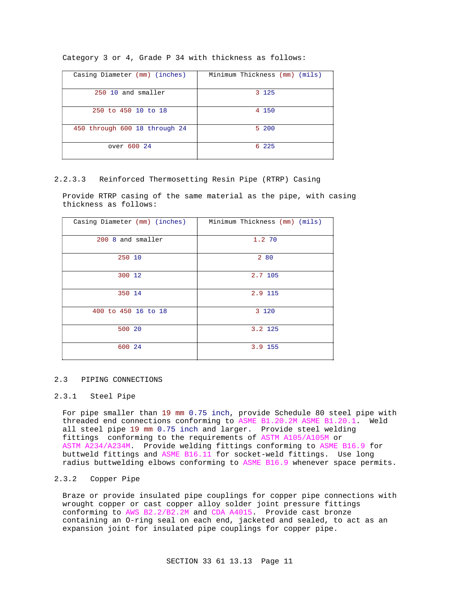|  |  |  |  |  |  |  |  | Category 3 or 4, Grade P 34 with thickness as follows: |  |  |
|--|--|--|--|--|--|--|--|--------------------------------------------------------|--|--|
|--|--|--|--|--|--|--|--|--------------------------------------------------------|--|--|

| Casing Diameter (mm) (inches) | Minimum Thickness (mm) (mils) |
|-------------------------------|-------------------------------|
| 250 10 and smaller            | 3 1 2 5                       |
| 250 to 450 10 to 18           | 4 150                         |
| 450 through 600 18 through 24 | 5 200                         |
| over 600 24                   | 6 225                         |

## 2.2.3.3 Reinforced Thermosetting Resin Pipe (RTRP) Casing

Provide RTRP casing of the same material as the pipe, with casing thickness as follows:

| Casing Diameter (mm) (inches) | Minimum Thickness (mm) (mils) |
|-------------------------------|-------------------------------|
| 200 8 and smaller             | 1.2 70                        |
| 250 10                        | 2 80                          |
| 300 12                        | 2.7 105                       |
| 350 14                        | 2.9 115                       |
| 400 to 450 16 to 18           | 3 1 2 0                       |
| 500 20                        | 3.2 125                       |
| 600 24                        | 3.9 155                       |

### 2.3 PIPING CONNECTIONS

## 2.3.1 Steel Pipe

For pipe smaller than 19 mm 0.75 inch, provide Schedule 80 steel pipe with threaded end connections conforming to ASME B1.20.2M ASME B1.20.1. Weld all steel pipe 19 mm 0.75 inch and larger. Provide steel welding fittings conforming to the requirements of ASTM A105/A105M or ASTM A234/A234M. Provide welding fittings conforming to ASME B16.9 for buttweld fittings and ASME B16.11 for socket-weld fittings. Use long radius buttwelding elbows conforming to ASME B16.9 whenever space permits.

## 2.3.2 Copper Pipe

Braze or provide insulated pipe couplings for copper pipe connections with wrought copper or cast copper alloy solder joint pressure fittings conforming to AWS B2.2/B2.2M and CDA A4015. Provide cast bronze containing an O-ring seal on each end, jacketed and sealed, to act as an expansion joint for insulated pipe couplings for copper pipe.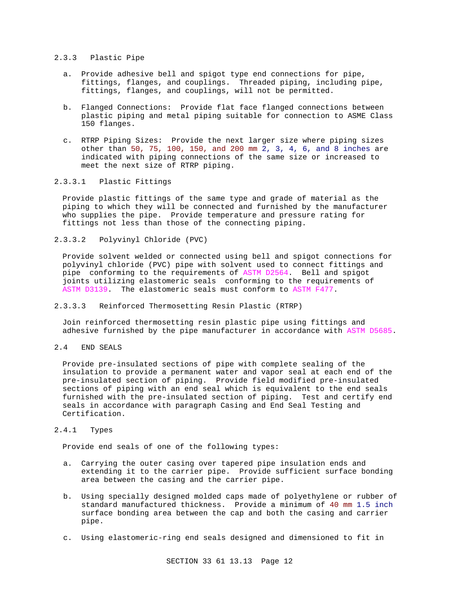## 2.3.3 Plastic Pipe

- a. Provide adhesive bell and spigot type end connections for pipe, fittings, flanges, and couplings. Threaded piping, including pipe, fittings, flanges, and couplings, will not be permitted.
- b. Flanged Connections: Provide flat face flanged connections between plastic piping and metal piping suitable for connection to ASME Class 150 flanges.
- c. RTRP Piping Sizes: Provide the next larger size where piping sizes other than 50, 75, 100, 150, and 200 mm 2, 3, 4, 6, and 8 inches are indicated with piping connections of the same size or increased to meet the next size of RTRP piping.

## 2.3.3.1 Plastic Fittings

Provide plastic fittings of the same type and grade of material as the piping to which they will be connected and furnished by the manufacturer who supplies the pipe. Provide temperature and pressure rating for fittings not less than those of the connecting piping.

2.3.3.2 Polyvinyl Chloride (PVC)

Provide solvent welded or connected using bell and spigot connections for polyvinyl chloride (PVC) pipe with solvent used to connect fittings and pipe conforming to the requirements of ASTM D2564. Bell and spigot joints utilizing elastomeric seals conforming to the requirements of ASTM D3139. The elastomeric seals must conform to ASTM F477.

2.3.3.3 Reinforced Thermosetting Resin Plastic (RTRP)

Join reinforced thermosetting resin plastic pipe using fittings and adhesive furnished by the pipe manufacturer in accordance with ASTM D5685.

2.4 END SEALS

Provide pre-insulated sections of pipe with complete sealing of the insulation to provide a permanent water and vapor seal at each end of the pre-insulated section of piping. Provide field modified pre-insulated sections of piping with an end seal which is equivalent to the end seals furnished with the pre-insulated section of piping. Test and certify end seals in accordance with paragraph Casing and End Seal Testing and Certification.

## 2.4.1 Types

Provide end seals of one of the following types:

- a. Carrying the outer casing over tapered pipe insulation ends and extending it to the carrier pipe. Provide sufficient surface bonding area between the casing and the carrier pipe.
- b. Using specially designed molded caps made of polyethylene or rubber of standard manufactured thickness. Provide a minimum of 40 mm 1.5 inch surface bonding area between the cap and both the casing and carrier pipe.
- c. Using elastomeric-ring end seals designed and dimensioned to fit in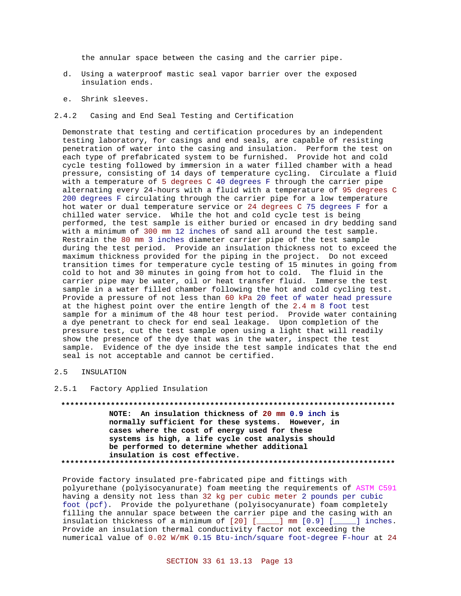the annular space between the casing and the carrier pipe.

- d. Using a waterproof mastic seal vapor barrier over the exposed insulation ends.
- e. Shrink sleeves.
- 2.4.2 Casing and End Seal Testing and Certification

Demonstrate that testing and certification procedures by an independent testing laboratory, for casings and end seals, are capable of resisting penetration of water into the casing and insulation. Perform the test on each type of prefabricated system to be furnished. Provide hot and cold cycle testing followed by immersion in a water filled chamber with a head pressure, consisting of 14 days of temperature cycling. Circulate a fluid with a temperature of 5 degrees C 40 degrees F through the carrier pipe alternating every 24-hours with a fluid with a temperature of 95 degrees C 200 degrees F circulating through the carrier pipe for a low temperature hot water or dual temperature service or 24 degrees C 75 degrees F for a chilled water service. While the hot and cold cycle test is being performed, the test sample is either buried or encased in dry bedding sand with a minimum of 300 mm 12 inches of sand all around the test sample. Restrain the 80 mm 3 inches diameter carrier pipe of the test sample during the test period. Provide an insulation thickness not to exceed the maximum thickness provided for the piping in the project. Do not exceed transition times for temperature cycle testing of 15 minutes in going from cold to hot and 30 minutes in going from hot to cold. The fluid in the carrier pipe may be water, oil or heat transfer fluid. Immerse the test sample in a water filled chamber following the hot and cold cycling test. Provide a pressure of not less than 60 kPa 20 feet of water head pressure at the highest point over the entire length of the 2.4 m 8 foot test sample for a minimum of the 48 hour test period. Provide water containing a dye penetrant to check for end seal leakage. Upon completion of the pressure test, cut the test sample open using a light that will readily show the presence of the dye that was in the water, inspect the test sample. Evidence of the dye inside the test sample indicates that the end seal is not acceptable and cannot be certified.

## 2.5 INSULATION

2.5.1 Factory Applied Insulation

**\*\*\*\*\*\*\*\*\*\*\*\*\*\*\*\*\*\*\*\*\*\*\*\*\*\*\*\*\*\*\*\*\*\*\*\*\*\*\*\*\*\*\*\*\*\*\*\*\*\*\*\*\*\*\*\*\*\*\*\*\*\*\*\*\*\*\*\*\*\*\*\*\*\* NOTE: An insulation thickness of 20 mm 0.9 inch is normally sufficient for these systems. However, in cases where the cost of energy used for these systems is high, a life cycle cost analysis should be performed to determine whether additional insulation is cost effective. \*\*\*\*\*\*\*\*\*\*\*\*\*\*\*\*\*\*\*\*\*\*\*\*\*\*\*\*\*\*\*\*\*\*\*\*\*\*\*\*\*\*\*\*\*\*\*\*\*\*\*\*\*\*\*\*\*\*\*\*\*\*\*\*\*\*\*\*\*\*\*\*\*\***

Provide factory insulated pre-fabricated pipe and fittings with polyurethane (polyisocyanurate) foam meeting the requirements of ASTM C591 having a density not less than 32 kg per cubic meter 2 pounds per cubic foot (pcf). Provide the polyurethane (polyisocyanurate) foam completely filling the annular space between the carrier pipe and the casing with an insulation thickness of a minimum of [20] [\_\_\_\_\_] mm [0.9] [\_\_\_\_\_] inches. Provide an insulation thermal conductivity factor not exceeding the numerical value of 0.02 W/mK 0.15 Btu-inch/square foot-degree F-hour at 24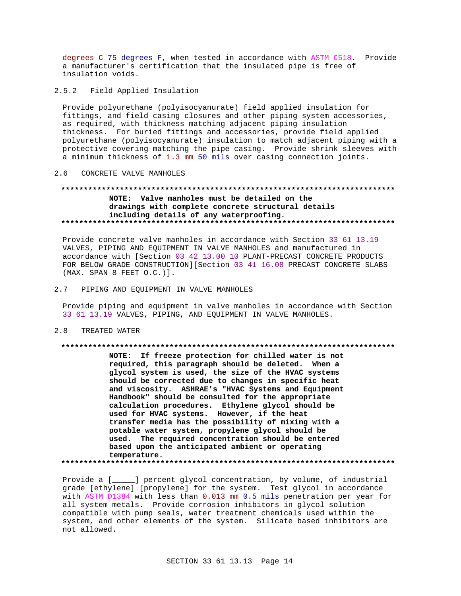degrees C 75 degrees F, when tested in accordance with ASTM C518. Provide a manufacturer's certification that the insulated pipe is free of insulation voids.

 $2.5.2$ Field Applied Insulation

Provide polyurethane (polyisocyanurate) field applied insulation for fittings, and field casing closures and other piping system accessories, as required, with thickness matching adjacent piping insulation thickness. For buried fittings and accessories, provide field applied polyurethane (polyisocyanurate) insulation to match adjacent piping with a protective covering matching the pipe casing. Provide shrink sleeves with a minimum thickness of 1.3 mm 50 mils over casing connection joints.

#### CONCRETE VALVE MANHOLES  $2.6$

## NOTE: Valve manholes must be detailed on the drawings with complete concrete structural details including details of any waterproofing.

Provide concrete valve manholes in accordance with Section 33 61 13.19 VALVES, PIPING AND EQUIPMENT IN VALVE MANHOLES and manufactured in accordance with [Section 03 42 13.00 10 PLANT-PRECAST CONCRETE PRODUCTS FOR BELOW GRADE CONSTRUCTION][Section 03 41 16.08 PRECAST CONCRETE SLABS (MAX. SPAN 8 FEET O.C.)].

 $2.7$ PIPING AND EQUIPMENT IN VALVE MANHOLES

Provide piping and equipment in valve manholes in accordance with Section 33 61 13.19 VALVES, PIPING, AND EQUIPMENT IN VALVE MANHOLES.

 $2.8$ TREATED WATER

### 

NOTE: If freeze protection for chilled water is not required, this paragraph should be deleted. When a glycol system is used, the size of the HVAC systems should be corrected due to changes in specific heat and viscosity. ASHRAE's "HVAC Systems and Equipment Handbook" should be consulted for the appropriate calculation procedures. Ethylene glycol should be used for HVAC systems. However, if the heat transfer media has the possibility of mixing with a potable water system, propylene glycol should be used. The required concentration should be entered based upon the anticipated ambient or operating temperature. 

Provide a [\_\_\_\_\_] percent glycol concentration, by volume, of industrial grade [ethylene] [propylene] for the system. Test glycol in accordance with ASTM D1384 with less than 0.013 mm 0.5 mils penetration per year for all system metals. Provide corrosion inhibitors in glycol solution compatible with pump seals, water treatment chemicals used within the system, and other elements of the system. Silicate based inhibitors are not allowed.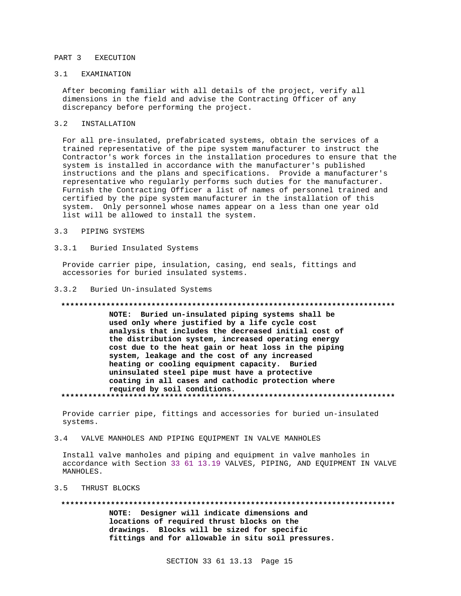## PART 3 EXECUTION

## 3.1 EXAMINATION

After becoming familiar with all details of the project, verify all dimensions in the field and advise the Contracting Officer of any discrepancy before performing the project.

#### $3.2$ INSTALLATION

For all pre-insulated, prefabricated systems, obtain the services of a trained representative of the pipe system manufacturer to instruct the Contractor's work forces in the installation procedures to ensure that the system is installed in accordance with the manufacturer's published instructions and the plans and specifications. Provide a manufacturer's representative who regularly performs such duties for the manufacturer. Furnish the Contracting Officer a list of names of personnel trained and certified by the pipe system manufacturer in the installation of this system. Only personnel whose names appear on a less than one year old list will be allowed to install the system.

#### $3<sup>2</sup>$ PIPING SYSTEMS

#### $3.3.1$ Buried Insulated Systems

Provide carrier pipe, insulation, casing, end seals, fittings and accessories for buried insulated systems.

#### $3.3.2$ Buried Un-insulated Systems

### 

NOTE: Buried un-insulated piping systems shall be used only where justified by a life cycle cost analysis that includes the decreased initial cost of the distribution system, increased operating energy cost due to the heat gain or heat loss in the piping system, leakage and the cost of any increased heating or cooling equipment capacity. Buried uninsulated steel pipe must have a protective coating in all cases and cathodic protection where required by soil conditions. 

Provide carrier pipe, fittings and accessories for buried un-insulated systems.

#### VALVE MANHOLES AND PIPING EQUIPMENT IN VALVE MANHOLES  $3.4$

Install valve manholes and piping and equipment in valve manholes in accordance with Section 33 61 13.19 VALVES, PIPING, AND EQUIPMENT IN VALVE MANHOLES.

#### THRUST BLOCKS  $3.5$

NOTE: Designer will indicate dimensions and locations of required thrust blocks on the drawings. Blocks will be sized for specific fittings and for allowable in situ soil pressures.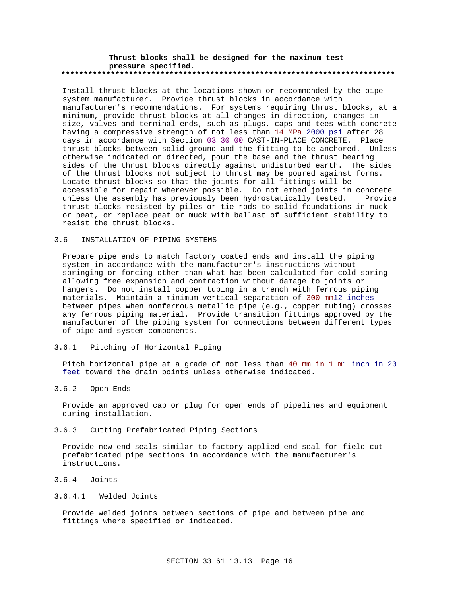### **Thrust blocks shall be designed for the maximum test pressure specified. \*\*\*\*\*\*\*\*\*\*\*\*\*\*\*\*\*\*\*\*\*\*\*\*\*\*\*\*\*\*\*\*\*\*\*\*\*\*\*\*\*\*\*\*\*\*\*\*\*\*\*\*\*\*\*\*\*\*\*\*\*\*\*\*\*\*\*\*\*\*\*\*\*\***

Install thrust blocks at the locations shown or recommended by the pipe system manufacturer. Provide thrust blocks in accordance with manufacturer's recommendations. For systems requiring thrust blocks, at a minimum, provide thrust blocks at all changes in direction, changes in size, valves and terminal ends, such as plugs, caps and tees with concrete having a compressive strength of not less than 14 MPa 2000 psi after 28 days in accordance with Section 03 30 00 CAST-IN-PLACE CONCRETE. Place thrust blocks between solid ground and the fitting to be anchored. Unless otherwise indicated or directed, pour the base and the thrust bearing sides of the thrust blocks directly against undisturbed earth. The sides of the thrust blocks not subject to thrust may be poured against forms. Locate thrust blocks so that the joints for all fittings will be accessible for repair wherever possible. Do not embed joints in concrete unless the assembly has previously been hydrostatically tested. Provide thrust blocks resisted by piles or tie rods to solid foundations in muck or peat, or replace peat or muck with ballast of sufficient stability to resist the thrust blocks.

## 3.6 INSTALLATION OF PIPING SYSTEMS

Prepare pipe ends to match factory coated ends and install the piping system in accordance with the manufacturer's instructions without springing or forcing other than what has been calculated for cold spring allowing free expansion and contraction without damage to joints or hangers. Do not install copper tubing in a trench with ferrous piping materials. Maintain a minimum vertical separation of 300 mm12 inches between pipes when nonferrous metallic pipe (e.g., copper tubing) crosses any ferrous piping material. Provide transition fittings approved by the manufacturer of the piping system for connections between different types of pipe and system components.

## 3.6.1 Pitching of Horizontal Piping

Pitch horizontal pipe at a grade of not less than 40 mm in 1 m1 inch in 20 feet toward the drain points unless otherwise indicated.

## 3.6.2 Open Ends

Provide an approved cap or plug for open ends of pipelines and equipment during installation.

## 3.6.3 Cutting Prefabricated Piping Sections

Provide new end seals similar to factory applied end seal for field cut prefabricated pipe sections in accordance with the manufacturer's instructions.

## 3.6.4 Joints

## 3.6.4.1 Welded Joints

Provide welded joints between sections of pipe and between pipe and fittings where specified or indicated.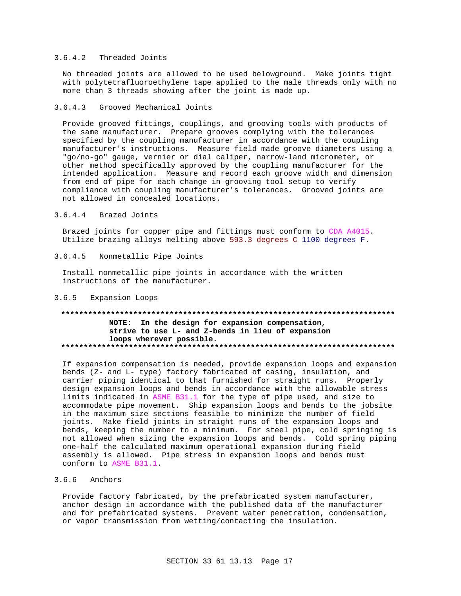## 3.6.4.2 Threaded Joints

No threaded joints are allowed to be used belowground. Make joints tight with polytetrafluoroethylene tape applied to the male threads only with no more than 3 threads showing after the joint is made up.

#### $3.6.4.3$ Grooved Mechanical Joints

Provide grooved fittings, couplings, and grooving tools with products of the same manufacturer. Prepare grooves complying with the tolerances specified by the coupling manufacturer in accordance with the coupling manufacturer's instructions. Measure field made groove diameters using a "go/no-go" gauge, vernier or dial caliper, narrow-land micrometer, or other method specifically approved by the coupling manufacturer for the intended application. Measure and record each groove width and dimension from end of pipe for each change in grooving tool setup to verify compliance with coupling manufacturer's tolerances. Grooved joints are not allowed in concealed locations.

#### $3.6.4.4$ Brazed Joints

Brazed joints for copper pipe and fittings must conform to CDA A4015. Utilize brazing alloys melting above 593.3 degrees C 1100 degrees F.

#### $3.6.4.5$ Nonmetallic Pipe Joints

Install nonmetallic pipe joints in accordance with the written instructions of the manufacturer.

#### $3.6.5$ Expansion Loops

## NOTE: In the design for expansion compensation, strive to use L- and Z-bends in lieu of expansion loops wherever possible.

If expansion compensation is needed, provide expansion loops and expansion bends (Z- and L- type) factory fabricated of casing, insulation, and carrier piping identical to that furnished for straight runs. Properly design expansion loops and bends in accordance with the allowable stress limits indicated in ASME B31.1 for the type of pipe used, and size to accommodate pipe movement. Ship expansion loops and bends to the jobsite in the maximum size sections feasible to minimize the number of field joints. Make field joints in straight runs of the expansion loops and bends, keeping the number to a minimum. For steel pipe, cold springing is not allowed when sizing the expansion loops and bends. Cold spring piping one-half the calculated maximum operational expansion during field assembly is allowed. Pipe stress in expansion loops and bends must conform to ASME B31.1.

## $3.6.6$  Anchors

Provide factory fabricated, by the prefabricated system manufacturer, anchor design in accordance with the published data of the manufacturer and for prefabricated systems. Prevent water penetration, condensation, or vapor transmission from wetting/contacting the insulation.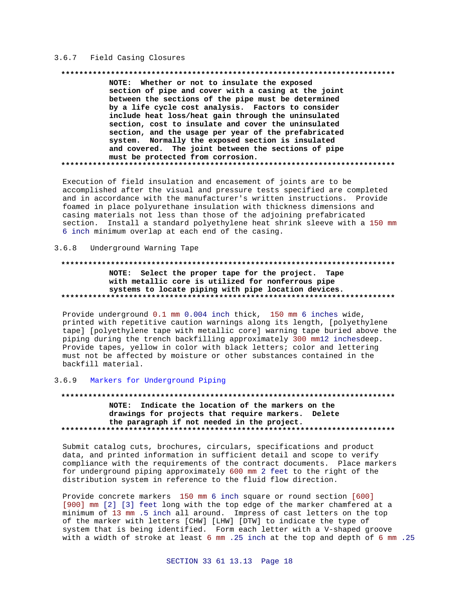## 3.6.7 Field Casing Closures

#### 

NOTE: Whether or not to insulate the exposed section of pipe and cover with a casing at the joint between the sections of the pipe must be determined by a life cycle cost analysis. Factors to consider include heat loss/heat gain through the uninsulated section, cost to insulate and cover the uninsulated section, and the usage per year of the prefabricated system. Normally the exposed section is insulated and covered. The joint between the sections of pipe must be protected from corrosion. 

Execution of field insulation and encasement of joints are to be accomplished after the visual and pressure tests specified are completed and in accordance with the manufacturer's written instructions. Provide foamed in place polyurethane insulation with thickness dimensions and casing materials not less than those of the adjoining prefabricated section. Install a standard polyethylene heat shrink sleeve with a 150 mm 6 inch minimum overlap at each end of the casing.

#### Underground Warning Tape  $3.6.8$

## NOTE: Select the proper tape for the project. Tape with metallic core is utilized for nonferrous pipe systems to locate piping with pipe location devices.

Provide underground 0.1 mm 0.004 inch thick, 150 mm 6 inches wide, printed with repetitive caution warnings along its length, [polyethylene tape] [polyethylene tape with metallic core] warning tape buried above the piping during the trench backfilling approximately 300 mm12 inchesdeep. Provide tapes, yellow in color with black letters; color and lettering must not be affected by moisture or other substances contained in the backfill material.

#### $3.6.9$ Markers for Underground Piping

## NOTE: Indicate the location of the markers on the drawings for projects that require markers. Delete the paragraph if not needed in the project.

Submit catalog cuts, brochures, circulars, specifications and product data, and printed information in sufficient detail and scope to verify compliance with the requirements of the contract documents. Place markers for underground piping approximately 600 mm 2 feet to the right of the distribution system in reference to the fluid flow direction.

Provide concrete markers 150 mm 6 inch square or round section [600] [900] mm [2] [3] feet long with the top edge of the marker chamfered at a minimum of 13 mm .5 inch all around. Impress of cast letters on the top of the marker with letters [CHW] [LHW] [DTW] to indicate the type of system that is being identified. Form each letter with a V-shaped groove with a width of stroke at least 6 mm .25 inch at the top and depth of 6 mm .25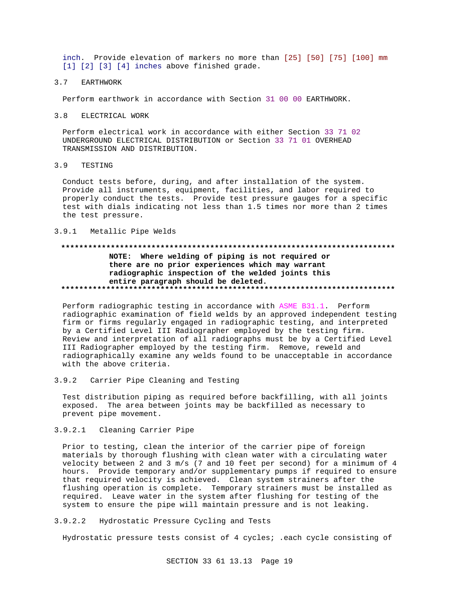inch. Provide elevation of markers no more than [25] [50] [75] [100] mm  $[1]$   $[2]$   $[3]$   $[4]$  inches above finished grade.

#### $3.7$ **EARTHWORK**

Perform earthwork in accordance with Section 31 00 00 EARTHWORK.

 $3.8$ ELECTRICAL WORK

Perform electrical work in accordance with either Section 33 71 02 UNDERGROUND ELECTRICAL DISTRIBUTION or Section 33 71 01 OVERHEAD TRANSMISSION AND DISTRIBUTION.

TESTING  $3.9$ 

> Conduct tests before, during, and after installation of the system. Provide all instruments, equipment, facilities, and labor required to properly conduct the tests. Provide test pressure gauges for a specific test with dials indicating not less than 1.5 times nor more than 2 times the test pressure.

### 3.9.1 Metallic Pipe Welds

## NOTE: Where welding of piping is not required or there are no prior experiences which may warrant radiographic inspection of the welded joints this entire paragraph should be deleted.

Perform radiographic testing in accordance with ASME B31.1. Perform radiographic examination of field welds by an approved independent testing firm or firms regularly engaged in radiographic testing, and interpreted by a Certified Level III Radiographer employed by the testing firm. Review and interpretation of all radiographs must be by a Certified Level III Radiographer employed by the testing firm. Remove, reweld and radiographically examine any welds found to be unacceptable in accordance with the above criteria.

 $3.9.2$ Carrier Pipe Cleaning and Testing

Test distribution piping as required before backfilling, with all joints exposed. The area between joints may be backfilled as necessary to prevent pipe movement.

3.9.2.1 Cleaning Carrier Pipe

Prior to testing, clean the interior of the carrier pipe of foreign materials by thorough flushing with clean water with a circulating water velocity between 2 and 3 m/s (7 and 10 feet per second) for a minimum of 4 hours. Provide temporary and/or supplementary pumps if required to ensure that required velocity is achieved. Clean system strainers after the flushing operation is complete. Temporary strainers must be installed as required. Leave water in the system after flushing for testing of the system to ensure the pipe will maintain pressure and is not leaking.

 $3.9.2.2$ Hydrostatic Pressure Cycling and Tests

Hydrostatic pressure tests consist of 4 cycles; .each cycle consisting of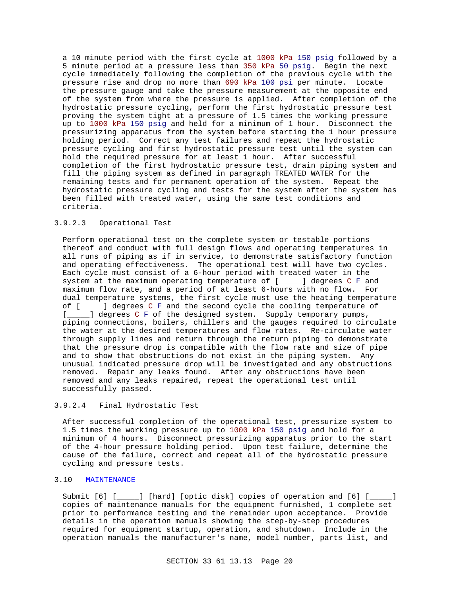a 10 minute period with the first cycle at 1000 kPa 150 psig followed by a 5 minute period at a pressure less than 350 kPa 50 psig. Begin the next cycle immediately following the completion of the previous cycle with the pressure rise and drop no more than 690 kPa 100 psi per minute. Locate the pressure gauge and take the pressure measurement at the opposite end of the system from where the pressure is applied. After completion of the hydrostatic pressure cycling, perform the first hydrostatic pressure test proving the system tight at a pressure of 1.5 times the working pressure up to 1000 kPa 150 psig and held for a minimum of 1 hour. Disconnect the pressurizing apparatus from the system before starting the 1 hour pressure holding period. Correct any test failures and repeat the hydrostatic pressure cycling and first hydrostatic pressure test until the system can hold the required pressure for at least 1 hour. After successful completion of the first hydrostatic pressure test, drain piping system and fill the piping system as defined in paragraph TREATED WATER for the remaining tests and for permanent operation of the system. Repeat the hydrostatic pressure cycling and tests for the system after the system has been filled with treated water, using the same test conditions and criteria.

## 3.9.2.3 Operational Test

Perform operational test on the complete system or testable portions thereof and conduct with full design flows and operating temperatures in all runs of piping as if in service, to demonstrate satisfactory function and operating effectiveness. The operational test will have two cycles. Each cycle must consist of a 6-hour period with treated water in the system at the maximum operating temperature of [\_\_\_\_\_] degrees C F and maximum flow rate, and a period of at least 6-hours with no flow. For dual temperature systems, the first cycle must use the heating temperature of [\_\_\_\_\_] degrees C F and the second cycle the cooling temperature of [\_\_\_\_\_] degrees C F of the designed system. Supply temporary pumps, piping connections, boilers, chillers and the gauges required to circulate the water at the desired temperatures and flow rates. Re-circulate water through supply lines and return through the return piping to demonstrate that the pressure drop is compatible with the flow rate and size of pipe and to show that obstructions do not exist in the piping system. Any unusual indicated pressure drop will be investigated and any obstructions removed. Repair any leaks found. After any obstructions have been removed and any leaks repaired, repeat the operational test until successfully passed.

## 3.9.2.4 Final Hydrostatic Test

After successful completion of the operational test, pressurize system to 1.5 times the working pressure up to 1000 kPa 150 psig and hold for a minimum of 4 hours. Disconnect pressurizing apparatus prior to the start of the 4-hour pressure holding period. Upon test failure, determine the cause of the failure, correct and repeat all of the hydrostatic pressure cycling and pressure tests.

## 3.10 MAINTENANCE

Submit [6] [\_\_\_\_\_] [hard] [optic disk] copies of operation and [6] [\_\_\_\_\_] copies of maintenance manuals for the equipment furnished, 1 complete set prior to performance testing and the remainder upon acceptance. Provide details in the operation manuals showing the step-by-step procedures required for equipment startup, operation, and shutdown. Include in the operation manuals the manufacturer's name, model number, parts list, and